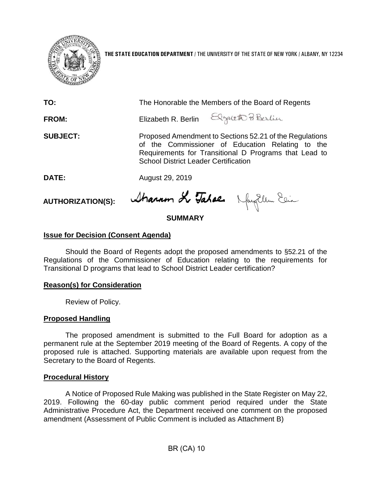

**THE STATE EDUCATION DEPARTMENT** / THE UNIVERSITY OF THE STATE OF NEW YORK / ALBANY, NY 12234

| TO:             | The Honorable the Members of the Board of Regents                                                                                                                                                                   |
|-----------------|---------------------------------------------------------------------------------------------------------------------------------------------------------------------------------------------------------------------|
| <b>FROM:</b>    | Elizabeth R. Berlin Elgaleth Pi Berlin                                                                                                                                                                              |
| <b>SUBJECT:</b> | Proposed Amendment to Sections 52.21 of the Regulations<br>of the Commissioner of Education Relating to the<br>Requirements for Transitional D Programs that Lead to<br><b>School District Leader Certification</b> |
| DATE:           | August 29, 2019                                                                                                                                                                                                     |
|                 | $\mathbf{1}$ $\mathbf{1}$                                                                                                                                                                                           |

**AUTHORIZATION(S):**

Stranum Le Tabaen Nayellem Elia

# **SUMMARY**

# **Issue for Decision (Consent Agenda)**

Should the Board of Regents adopt the proposed amendments to §52.21 of the Regulations of the Commissioner of Education relating to the requirements for Transitional D programs that lead to School District Leader certification?

## **Reason(s) for Consideration**

Review of Policy.

## **Proposed Handling**

The proposed amendment is submitted to the Full Board for adoption as a permanent rule at the September 2019 meeting of the Board of Regents. A copy of the proposed rule is attached. Supporting materials are available upon request from the Secretary to the Board of Regents.

## **Procedural History**

A Notice of Proposed Rule Making was published in the State Register on May 22, 2019. Following the 60-day public comment period required under the State Administrative Procedure Act, the Department received one comment on the proposed amendment (Assessment of Public Comment is included as Attachment B)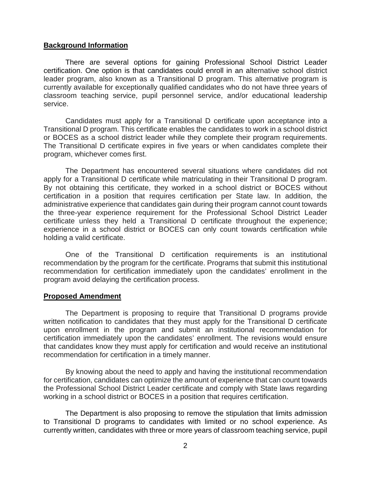### **Background Information**

There are several options for gaining Professional School District Leader certification. One option is that candidates could enroll in an alternative school district leader program, also known as a Transitional D program. This alternative program is currently available for exceptionally qualified candidates who do not have three years of classroom teaching service, pupil personnel service, and/or educational leadership service.

Candidates must apply for a Transitional D certificate upon acceptance into a Transitional D program. This certificate enables the candidates to work in a school district or BOCES as a school district leader while they complete their program requirements. The Transitional D certificate expires in five years or when candidates complete their program, whichever comes first.

The Department has encountered several situations where candidates did not apply for a Transitional D certificate while matriculating in their Transitional D program. By not obtaining this certificate, they worked in a school district or BOCES without certification in a position that requires certification per State law. In addition, the administrative experience that candidates gain during their program cannot count towards the three-year experience requirement for the Professional School District Leader certificate unless they held a Transitional D certificate throughout the experience; experience in a school district or BOCES can only count towards certification while holding a valid certificate.

One of the Transitional D certification requirements is an institutional recommendation by the program for the certificate. Programs that submit this institutional recommendation for certification immediately upon the candidates' enrollment in the program avoid delaying the certification process.

#### **Proposed Amendment**

The Department is proposing to require that Transitional D programs provide written notification to candidates that they must apply for the Transitional D certificate upon enrollment in the program and submit an institutional recommendation for certification immediately upon the candidates' enrollment. The revisions would ensure that candidates know they must apply for certification and would receive an institutional recommendation for certification in a timely manner.

By knowing about the need to apply and having the institutional recommendation for certification, candidates can optimize the amount of experience that can count towards the Professional School District Leader certificate and comply with State laws regarding working in a school district or BOCES in a position that requires certification.

The Department is also proposing to remove the stipulation that limits admission to Transitional D programs to candidates with limited or no school experience. As currently written, candidates with three or more years of classroom teaching service, pupil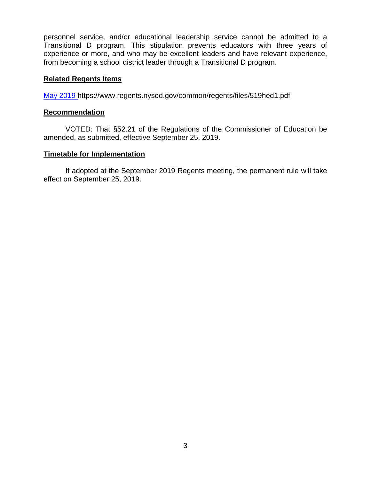personnel service, and/or educational leadership service cannot be admitted to a Transitional D program. This stipulation prevents educators with three years of experience or more, and who may be excellent leaders and have relevant experience, from becoming a school district leader through a Transitional D program.

### **Related Regents Items**

[May 2019](https://www.regents.nysed.gov/common/regents/files/519hed1.pdf) https://www.regents.nysed.gov/common/regents/files/519hed1.pdf

### **Recommendation**

VOTED: That §52.21 of the Regulations of the Commissioner of Education be amended, as submitted, effective September 25, 2019.

### **Timetable for Implementation**

If adopted at the September 2019 Regents meeting, the permanent rule will take effect on September 25, 2019.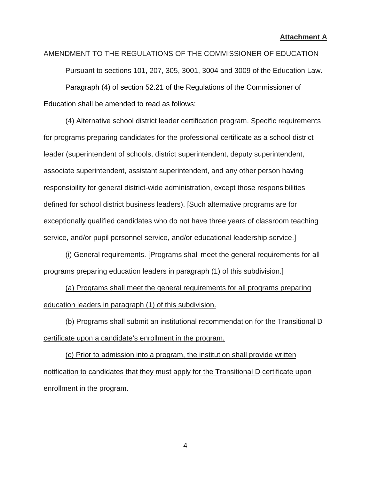AMENDMENT TO THE REGULATIONS OF THE COMMISSIONER OF EDUCATION Pursuant to sections 101, 207, 305, 3001, 3004 and 3009 of the Education Law. Paragraph (4) of section 52.21 of the Regulations of the Commissioner of Education shall be amended to read as follows:

(4) Alternative school district leader certification program. Specific requirements for programs preparing candidates for the professional certificate as a school district leader (superintendent of schools, district superintendent, deputy superintendent, associate superintendent, assistant superintendent, and any other person having responsibility for general district-wide administration, except those responsibilities defined for school district business leaders). [Such alternative programs are for exceptionally qualified candidates who do not have three years of classroom teaching service, and/or pupil personnel service, and/or educational leadership service.]

(i) General requirements. [Programs shall meet the general requirements for all programs preparing education leaders in paragraph (1) of this subdivision.]

(a) Programs shall meet the general requirements for all programs preparing education leaders in paragraph (1) of this subdivision.

(b) Programs shall submit an institutional recommendation for the Transitional D certificate upon a candidate's enrollment in the program.

(c) Prior to admission into a program, the institution shall provide written notification to candidates that they must apply for the Transitional D certificate upon enrollment in the program.

4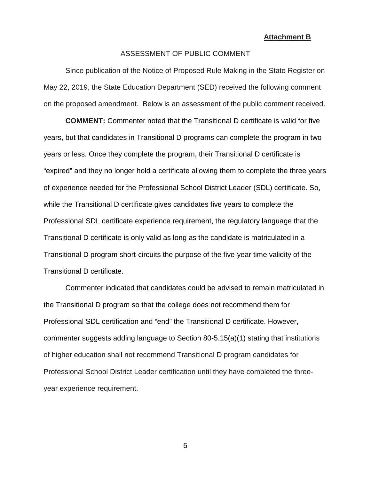#### **Attachment B**

#### ASSESSMENT OF PUBLIC COMMENT

Since publication of the Notice of Proposed Rule Making in the State Register on May 22, 2019, the State Education Department (SED) received the following comment on the proposed amendment. Below is an assessment of the public comment received.

**COMMENT:** Commenter noted that the Transitional D certificate is valid for five years, but that candidates in Transitional D programs can complete the program in two years or less. Once they complete the program, their Transitional D certificate is "expired" and they no longer hold a certificate allowing them to complete the three years of experience needed for the Professional School District Leader (SDL) certificate. So, while the Transitional D certificate gives candidates five years to complete the Professional SDL certificate experience requirement, the regulatory language that the Transitional D certificate is only valid as long as the candidate is matriculated in a Transitional D program short-circuits the purpose of the five-year time validity of the Transitional D certificate.

Commenter indicated that candidates could be advised to remain matriculated in the Transitional D program so that the college does not recommend them for Professional SDL certification and "end" the Transitional D certificate. However, commenter suggests adding language to Section 80-5.15(a)(1) stating that institutions of higher education shall not recommend Transitional D program candidates for Professional School District Leader certification until they have completed the threeyear experience requirement.

5